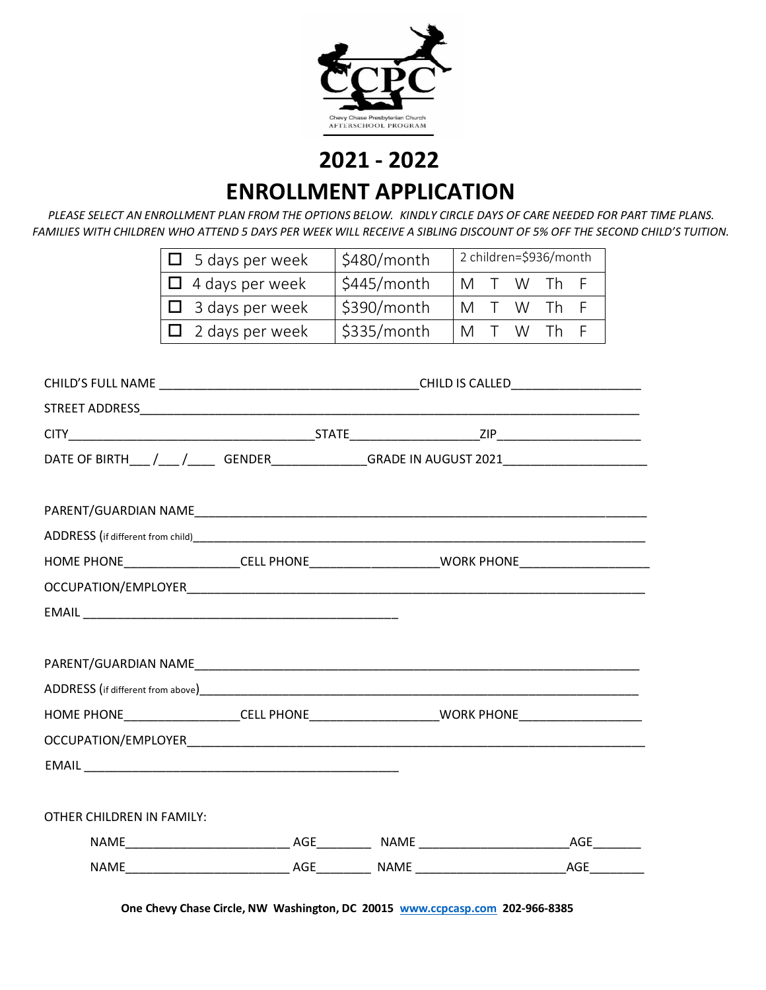

 **2021 - 2022 ENROLLMENT APPLICATION**

*PLEASE SELECT AN ENROLLMENT PLAN FROM THE OPTIONS BELOW. KINDLY CIRCLE DAYS OF CARE NEEDED FOR PART TIME PLANS. FAMILIES WITH CHILDREN WHO ATTEND 5 DAYS PER WEEK WILL RECEIVE A SIBLING DISCOUNT OF 5% OFF THE SECOND CHILD'S TUITION.*

| $\Box$ 5 days per week | \$480/month | 2 children=\$936/month |  |  |             |  |
|------------------------|-------------|------------------------|--|--|-------------|--|
| $\Box$ 4 days per week | \$445/month |                        |  |  | IMT W Th F  |  |
| $\Box$ 3 days per week | \$390/month |                        |  |  | IM T W Th F |  |
| $\Box$ 2 days per week | \$335/month |                        |  |  | IM T W Th F |  |

| DATE OF BIRTH___/___/_____GENDER______________GRADE IN AUGUST 2021_______________                   |  |  |  |  |
|-----------------------------------------------------------------------------------------------------|--|--|--|--|
|                                                                                                     |  |  |  |  |
|                                                                                                     |  |  |  |  |
| HOME PHONE____________________CELL PHONE_______________________WORK PHONE__________________________ |  |  |  |  |
|                                                                                                     |  |  |  |  |
|                                                                                                     |  |  |  |  |
|                                                                                                     |  |  |  |  |
|                                                                                                     |  |  |  |  |
|                                                                                                     |  |  |  |  |
| HOME PHONE____________________CELL PHONE________________________WORK PHONE_________________________ |  |  |  |  |
|                                                                                                     |  |  |  |  |
|                                                                                                     |  |  |  |  |
| OTHER CHILDREN IN FAMILY:                                                                           |  |  |  |  |
|                                                                                                     |  |  |  |  |
|                                                                                                     |  |  |  |  |

**One Chevy Chase Circle, NW Washington, DC 20015 [www.ccpcasp.com](http://www.ccpcasp.com/) 202-966-8385**